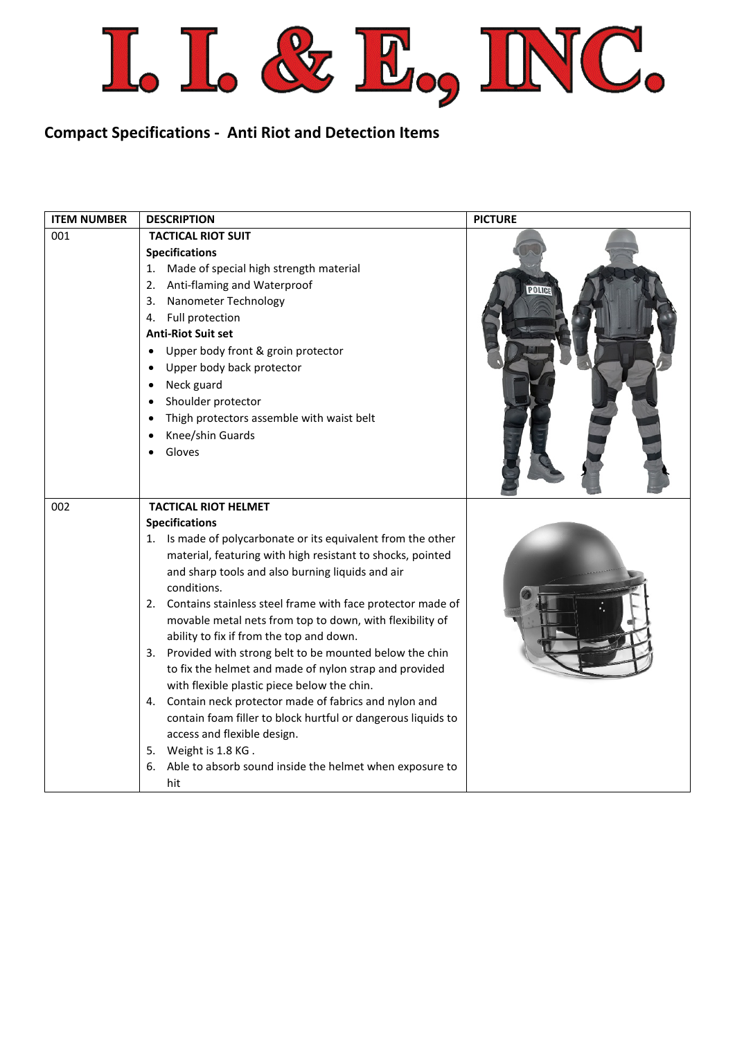

## **Compact Specifications - Anti Riot and Detection Items**

| <b>ITEM NUMBER</b> | <b>DESCRIPTION</b>                                                                                                                                                                                                                                                                                                                                                                                                                                                                                                                                                                                                                                                                                                                                                                                                                                                      | <b>PICTURE</b> |
|--------------------|-------------------------------------------------------------------------------------------------------------------------------------------------------------------------------------------------------------------------------------------------------------------------------------------------------------------------------------------------------------------------------------------------------------------------------------------------------------------------------------------------------------------------------------------------------------------------------------------------------------------------------------------------------------------------------------------------------------------------------------------------------------------------------------------------------------------------------------------------------------------------|----------------|
| 001                | <b>TACTICAL RIOT SUIT</b><br><b>Specifications</b><br>Made of special high strength material<br>1.<br>Anti-flaming and Waterproof<br>2.<br>Nanometer Technology<br>3.<br>Full protection<br>4.<br><b>Anti-Riot Suit set</b><br>Upper body front & groin protector<br>Upper body back protector<br>Neck guard<br>Shoulder protector<br>٠<br>Thigh protectors assemble with waist belt<br>Knee/shin Guards<br>Gloves                                                                                                                                                                                                                                                                                                                                                                                                                                                      | <b>POLICI</b>  |
| 002                | <b>TACTICAL RIOT HELMET</b><br><b>Specifications</b><br>1. Is made of polycarbonate or its equivalent from the other<br>material, featuring with high resistant to shocks, pointed<br>and sharp tools and also burning liquids and air<br>conditions.<br>2. Contains stainless steel frame with face protector made of<br>movable metal nets from top to down, with flexibility of<br>ability to fix if from the top and down.<br>Provided with strong belt to be mounted below the chin<br>3.<br>to fix the helmet and made of nylon strap and provided<br>with flexible plastic piece below the chin.<br>Contain neck protector made of fabrics and nylon and<br>4.<br>contain foam filler to block hurtful or dangerous liquids to<br>access and flexible design.<br>Weight is 1.8 KG.<br>5.<br>Able to absorb sound inside the helmet when exposure to<br>6.<br>hit |                |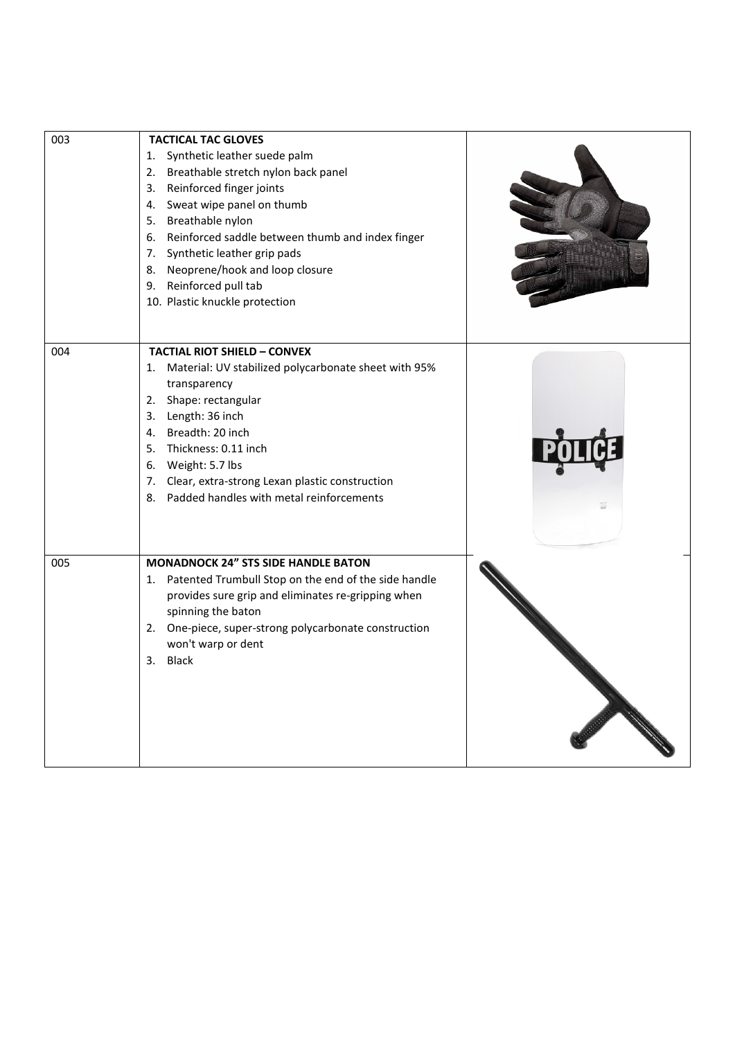| 003 | <b>TACTICAL TAC GLOVES</b><br>Synthetic leather suede palm<br>1.<br>Breathable stretch nylon back panel<br>2.<br>3. Reinforced finger joints<br>4. Sweat wipe panel on thumb                                                                                                                                                              |  |
|-----|-------------------------------------------------------------------------------------------------------------------------------------------------------------------------------------------------------------------------------------------------------------------------------------------------------------------------------------------|--|
|     | 5. Breathable nylon<br>6. Reinforced saddle between thumb and index finger<br>7. Synthetic leather grip pads<br>8. Neoprene/hook and loop closure<br>9. Reinforced pull tab<br>10. Plastic knuckle protection                                                                                                                             |  |
| 004 | <b>TACTIAL RIOT SHIELD - CONVEX</b><br>1. Material: UV stabilized polycarbonate sheet with 95%<br>transparency<br>2. Shape: rectangular<br>3. Length: 36 inch<br>4. Breadth: 20 inch<br>5. Thickness: 0.11 inch<br>6. Weight: 5.7 lbs<br>7. Clear, extra-strong Lexan plastic construction<br>8. Padded handles with metal reinforcements |  |
| 005 | <b>MONADNOCK 24" STS SIDE HANDLE BATON</b><br>1. Patented Trumbull Stop on the end of the side handle<br>provides sure grip and eliminates re-gripping when<br>spinning the baton<br>2. One-piece, super-strong polycarbonate construction<br>won't warp or dent<br>3. Black                                                              |  |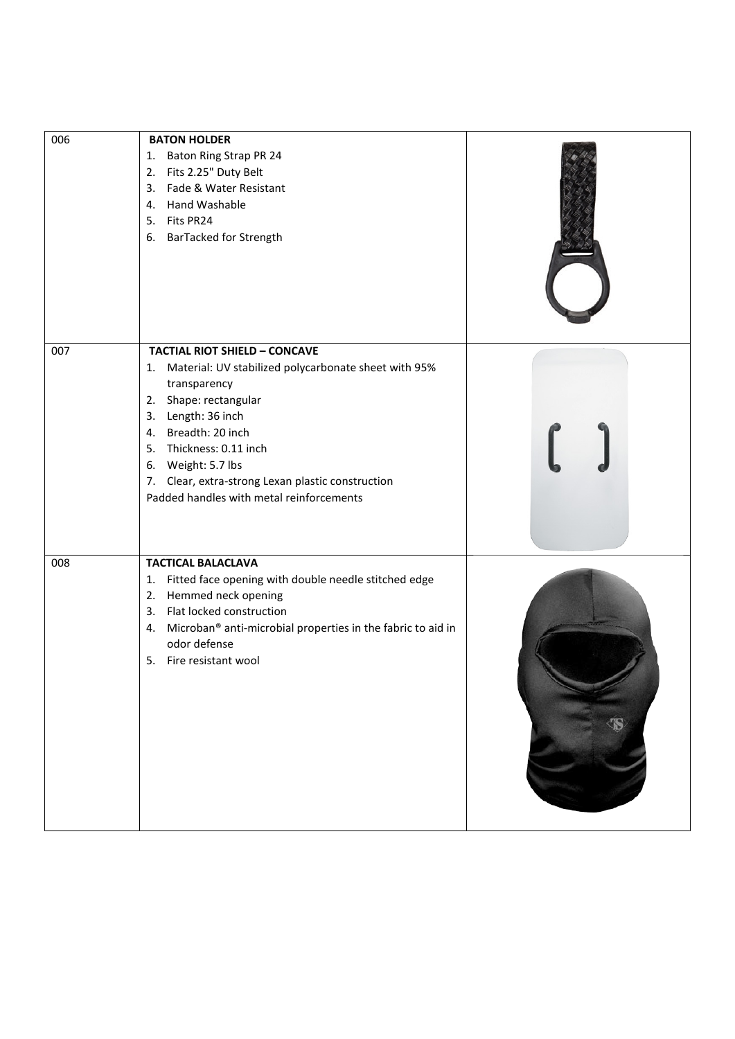| 006 | <b>BATON HOLDER</b><br>Baton Ring Strap PR 24<br>1.<br>Fits 2.25" Duty Belt<br>2.<br>Fade & Water Resistant<br>3.<br>4. Hand Washable<br>Fits PR24<br>5.<br>6. BarTacked for Strength                                                                                                                                                   |  |
|-----|-----------------------------------------------------------------------------------------------------------------------------------------------------------------------------------------------------------------------------------------------------------------------------------------------------------------------------------------|--|
| 007 | <b>TACTIAL RIOT SHIELD - CONCAVE</b><br>1. Material: UV stabilized polycarbonate sheet with 95%<br>transparency<br>2. Shape: rectangular<br>3. Length: 36 inch<br>4. Breadth: 20 inch<br>5. Thickness: 0.11 inch<br>6. Weight: 5.7 lbs<br>7. Clear, extra-strong Lexan plastic construction<br>Padded handles with metal reinforcements |  |
| 008 | <b>TACTICAL BALACLAVA</b><br>Fitted face opening with double needle stitched edge<br>1.<br>Hemmed neck opening<br>2.<br>Flat locked construction<br>3.<br>Microban® anti-microbial properties in the fabric to aid in<br>4.<br>odor defense<br>Fire resistant wool<br>5.                                                                |  |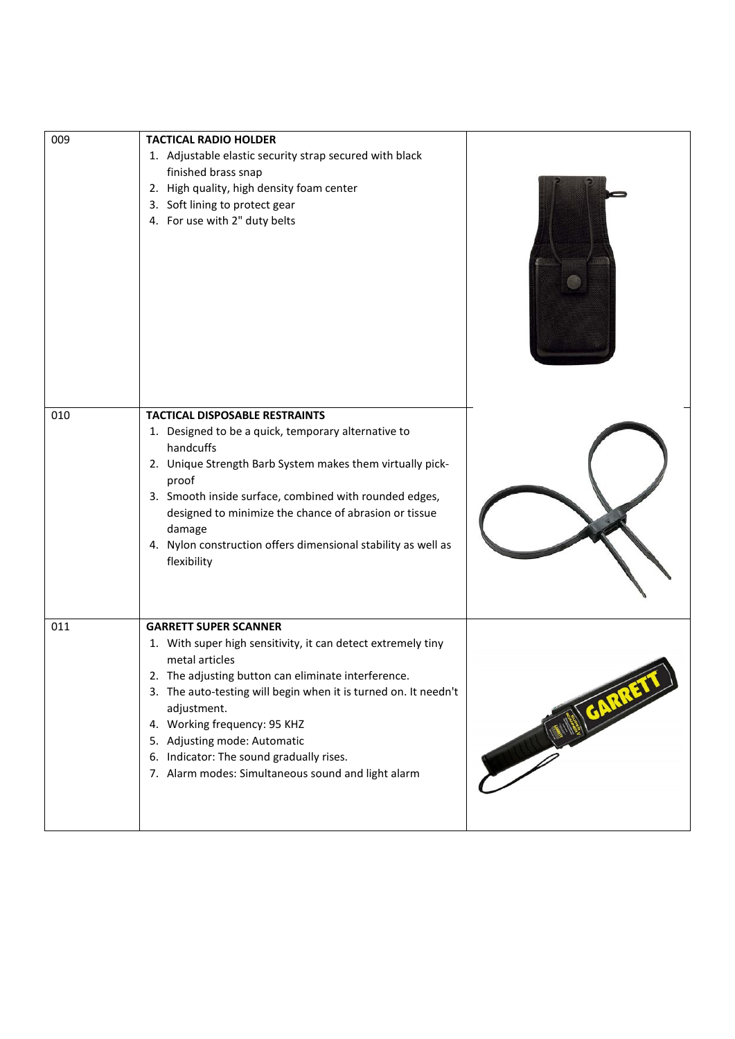| 009 | <b>TACTICAL RADIO HOLDER</b><br>1. Adjustable elastic security strap secured with black<br>finished brass snap<br>2. High quality, high density foam center<br>3. Soft lining to protect gear<br>4. For use with 2" duty belts                                                                                                                                                                                           |  |
|-----|--------------------------------------------------------------------------------------------------------------------------------------------------------------------------------------------------------------------------------------------------------------------------------------------------------------------------------------------------------------------------------------------------------------------------|--|
| 010 | <b>TACTICAL DISPOSABLE RESTRAINTS</b><br>1. Designed to be a quick, temporary alternative to<br>handcuffs<br>2. Unique Strength Barb System makes them virtually pick-<br>proof<br>3. Smooth inside surface, combined with rounded edges,<br>designed to minimize the chance of abrasion or tissue<br>damage<br>4. Nylon construction offers dimensional stability as well as<br>flexibility                             |  |
| 011 | <b>GARRETT SUPER SCANNER</b><br>1. With super high sensitivity, it can detect extremely tiny<br>metal articles<br>2. The adjusting button can eliminate interference<br>3. The auto-testing will begin when it is turned on. It needn't<br>adjustment.<br>4. Working frequency: 95 KHZ<br>5. Adjusting mode: Automatic<br>6. Indicator: The sound gradually rises.<br>7. Alarm modes: Simultaneous sound and light alarm |  |